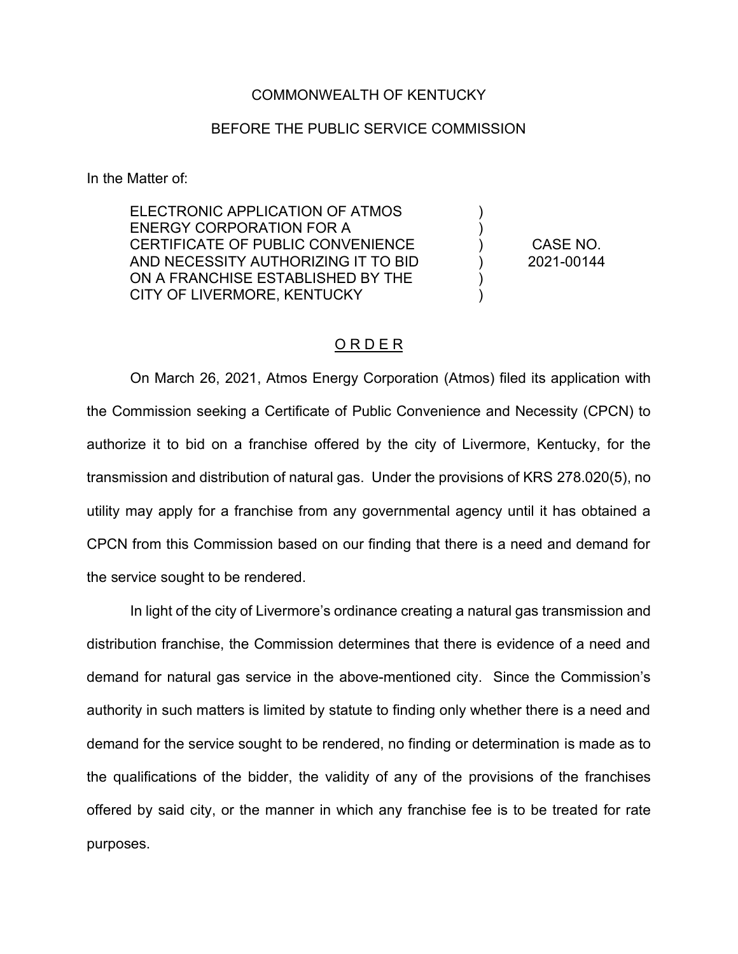## COMMONWEALTH OF KENTUCKY

## BEFORE THE PUBLIC SERVICE COMMISSION

In the Matter of:

ELECTRONIC APPLICATION OF ATMOS ENERGY CORPORATION FOR A CERTIFICATE OF PUBLIC CONVENIENCE AND NECESSITY AUTHORIZING IT TO BID ON A FRANCHISE ESTABLISHED BY THE CITY OF LIVERMORE, KENTUCKY

CASE NO. 2021-00144

) ) ) ) ) )

## O R D E R

On March 26, 2021, Atmos Energy Corporation (Atmos) filed its application with the Commission seeking a Certificate of Public Convenience and Necessity (CPCN) to authorize it to bid on a franchise offered by the city of Livermore, Kentucky, for the transmission and distribution of natural gas. Under the provisions of KRS 278.020(5), no utility may apply for a franchise from any governmental agency until it has obtained a CPCN from this Commission based on our finding that there is a need and demand for the service sought to be rendered.

In light of the city of Livermore's ordinance creating a natural gas transmission and distribution franchise, the Commission determines that there is evidence of a need and demand for natural gas service in the above-mentioned city. Since the Commission's authority in such matters is limited by statute to finding only whether there is a need and demand for the service sought to be rendered, no finding or determination is made as to the qualifications of the bidder, the validity of any of the provisions of the franchises offered by said city, or the manner in which any franchise fee is to be treated for rate purposes.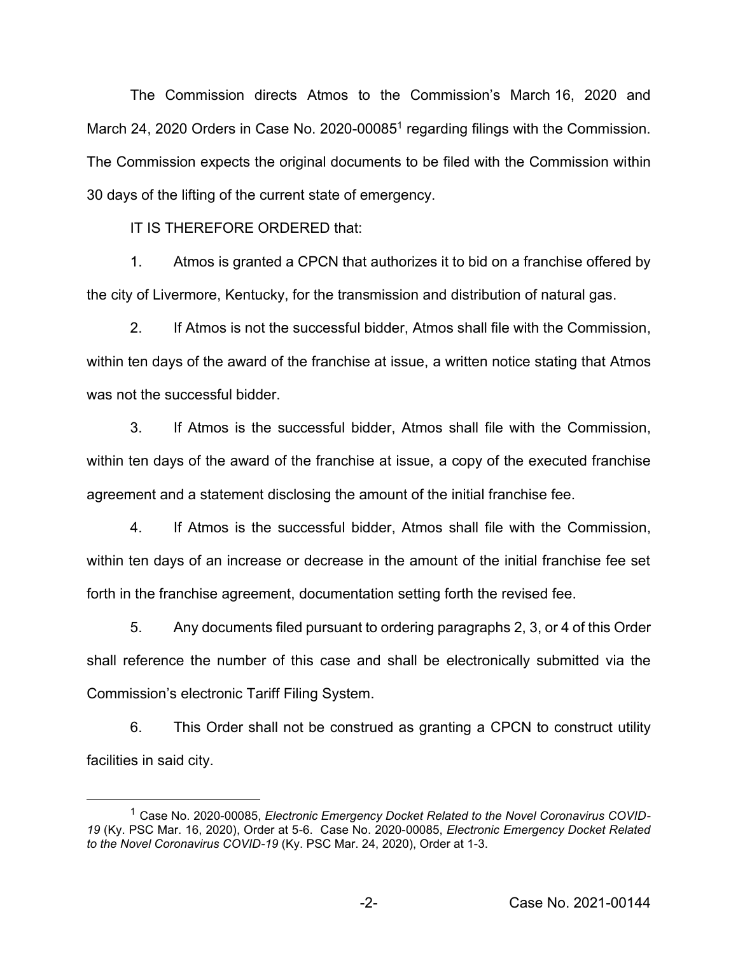The Commission directs Atmos to the Commission's March 16, 2020 and March 24, 2020 Orders in Case No. 2020-00085<sup>1</sup> regarding filings with the Commission. The Commission expects the original documents to be filed with the Commission within 30 days of the lifting of the current state of emergency.

IT IS THEREFORE ORDERED that:

1. Atmos is granted a CPCN that authorizes it to bid on a franchise offered by the city of Livermore, Kentucky, for the transmission and distribution of natural gas.

2. If Atmos is not the successful bidder, Atmos shall file with the Commission, within ten days of the award of the franchise at issue, a written notice stating that Atmos was not the successful bidder

3. If Atmos is the successful bidder, Atmos shall file with the Commission, within ten days of the award of the franchise at issue, a copy of the executed franchise agreement and a statement disclosing the amount of the initial franchise fee.

4. If Atmos is the successful bidder, Atmos shall file with the Commission, within ten days of an increase or decrease in the amount of the initial franchise fee set forth in the franchise agreement, documentation setting forth the revised fee.

5. Any documents filed pursuant to ordering paragraphs 2, 3, or 4 of this Order shall reference the number of this case and shall be electronically submitted via the Commission's electronic Tariff Filing System.

6. This Order shall not be construed as granting a CPCN to construct utility facilities in said city.

<sup>1</sup> Case No. 2020-00085, *Electronic Emergency Docket Related to the Novel Coronavirus COVID-19* (Ky. PSC Mar. 16, 2020), Order at 5-6. Case No. 2020-00085, *Electronic Emergency Docket Related to the Novel Coronavirus COVID-19* (Ky. PSC Mar. 24, 2020), Order at 1-3.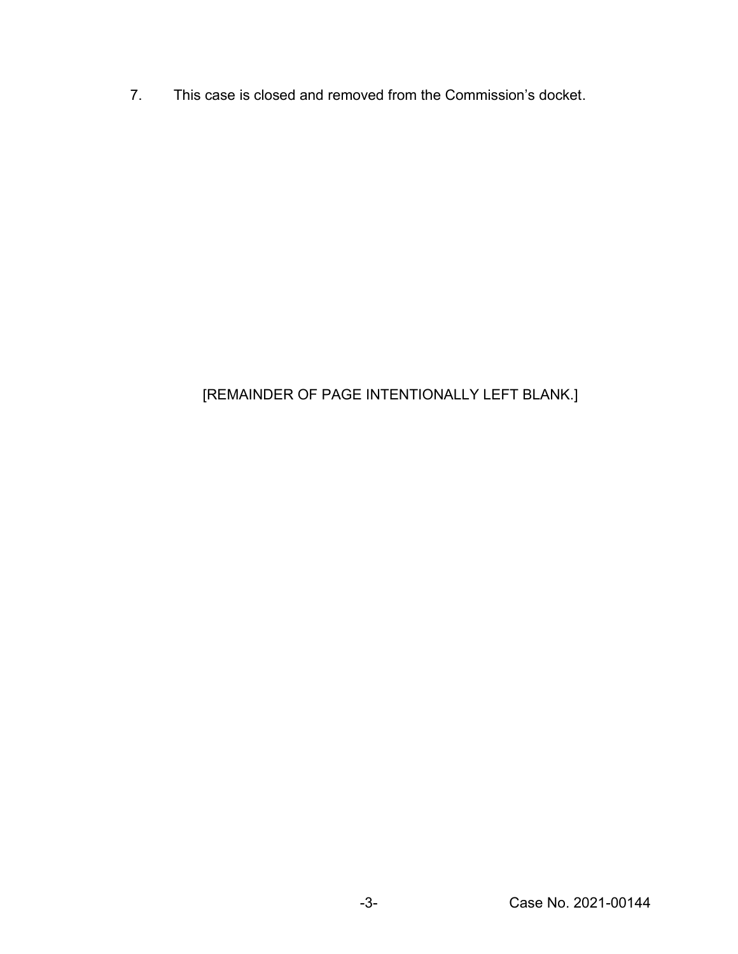7. This case is closed and removed from the Commission's docket.

## [REMAINDER OF PAGE INTENTIONALLY LEFT BLANK.]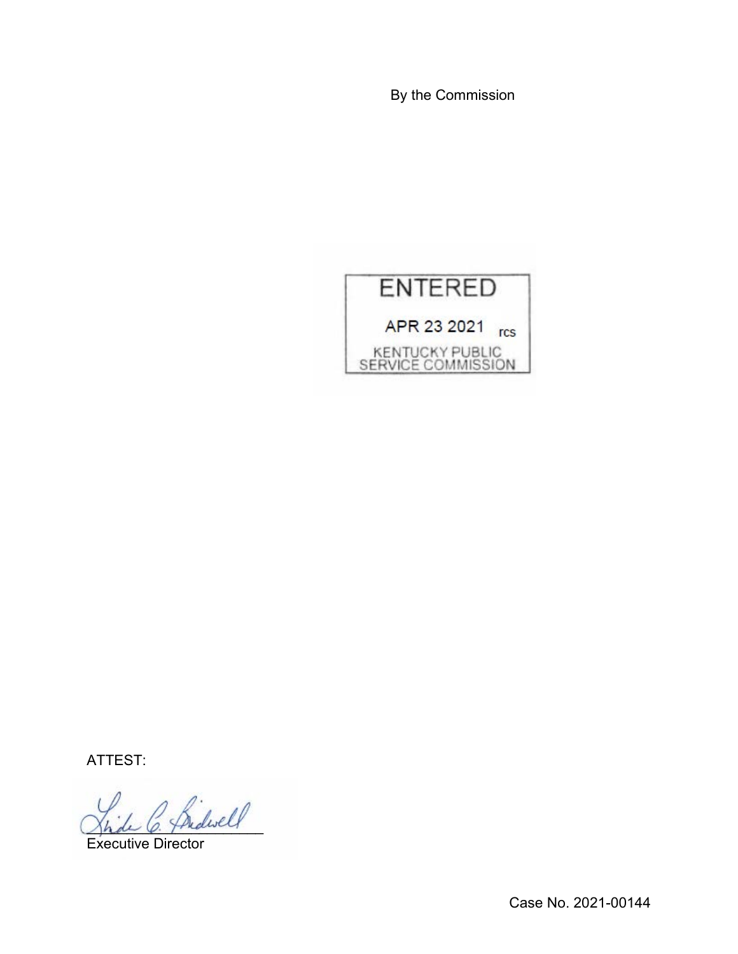By the Commission



ATTEST:

 $\ell$  and well

Executive Director

Case No. 2021-00144